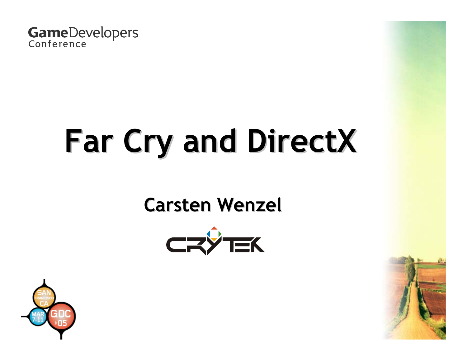

# **Far Cry and DirectX Far Cry and DirectX**

### **Carsten Wenzel Carsten Wenzel**





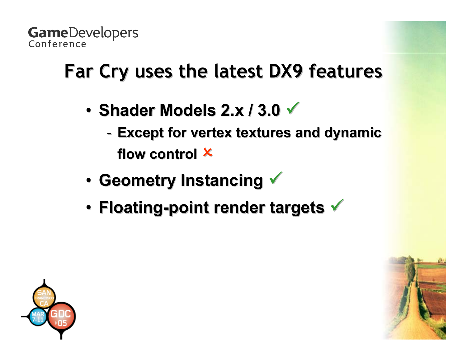## **Far Cry uses the latest DX9 features Far Cry uses the latest DX9 features**

- **Shader Models 2.x / 3.0**  $\checkmark$ 
	- -**Except for vertex textures and dynamic** flow control <sup>X</sup>
- **Geometry Instancing V**
- **Floating-point render targets**  $\checkmark$

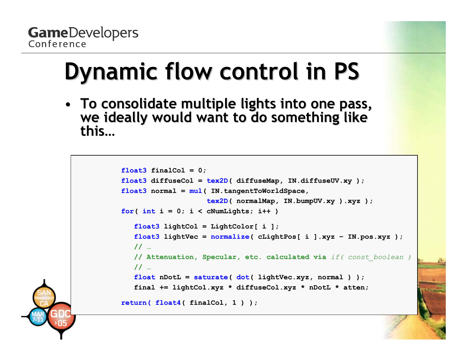# **Dynamic flow control in PS Dynamic flow control in PS**

• **To consolidate multiple lights into one pass, To consolidate multiple lights into one pass, we ideally would want to do something like we ideally would want to do something like this…**

```
float3 finalCol= 0;
float3 diffuseCol= tex2D( diffuseMap, IN.diffuseUV.xy );
float3 normal= mul( IN.tangentToWorldSpace,
                    tex2D( normalMap, IN.bumpUV.xy ).xyz );
for( int
i= 0; i < cNumLights; i++ )
   float3 lightCol = LightColor[ i ];
   float3 lightVec
= normalize( cLightPos[ i ].xyz 
– IN.pos.xyz );
   // 
…// Attenuation, Specular, etc. calculated via if( const_boolean )
   // 
…float nDotL
= saturate( dot( lightVec.xyz, normal ) );
   final += lightCol.xyz * diffuseCol.xyz * nDotL * atten;
return( float4( finalCol, 1 ) );
```
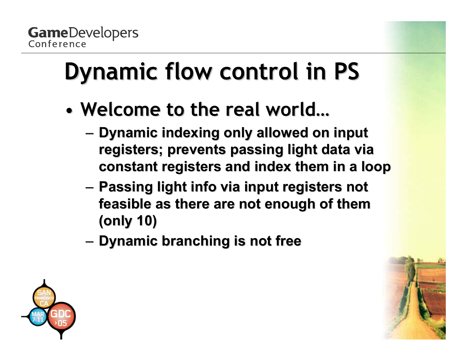# **Dynamic flow control in PS Dynamic flow control in PS**

- Welcome to the real world...
	- **Dynamic indexing only allowed on input registers; prevents passing light data via registers; prevents passing light data via constant registers and index them in a loop constant registers and index them in a loop**
	- – **Passing light info via input registers not Passing light info via input registers not**  feasible as there are not enough of them **(only 10) (only 10)**
	- –**Dynamic branching is not free Dynamic branching is not free**

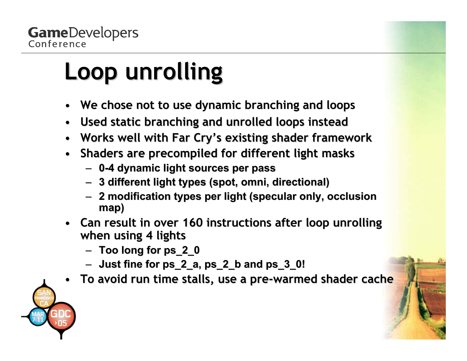# **Loop unrolling Loop unrolling**

- $\bullet$ • We chose not to use dynamic branching and loops
- $\bullet$ **Used static branching and unrolled loops instead**
- •**Works well with Far Cry's existing shader framework Works well with Far Cry's existing shader framework**
- $\bullet$ **•** Shaders are precompiled for different light masks
	- **0 -4 dynamic light sources per pass 4 dynamic light sources per pass**
	- **3 different light types (spot, omni, directional) 3 different light types (spot, omni, directional)**
	- **2 modification types per light (specular only, occlusion 2 modification types per light (specular only, occlusion map)**
- Can result in over 160 instructions after loop unrolling **when using 4 lights when using 4 lights**
	- **Too long for ps\_2\_0 Too long for ps\_2\_0**
	- **Just fine for ps\_2\_a, ps\_2\_b and ps\_3\_0! Just fine for ps\_2\_a, ps\_2\_b and ps\_3\_0!**
- •**To avoid run time stalls, use a pre To avoid run time stalls, use a pre -warmed shader cache warmed shader cache**

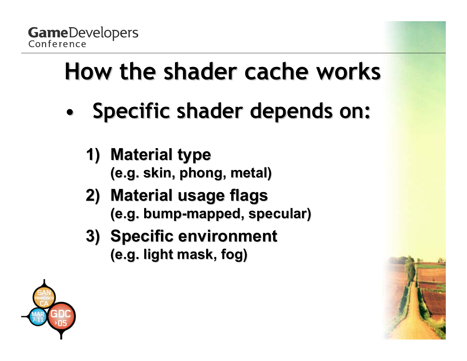

# **How the shader cache works How the shader cache works**

- •**Specific shader depends on:** 
	- **1)** Material type **(e.g. skin, (e.g. skin, phong, metal) , metal)**
	- **2) Material usage flags Material usage flags (e.g. bump (e.g. bump -mapped, specular) mapped, specular)**
	- **3) Specific environment (e.g. light mask, fog) (e.g. light mask, fog)**

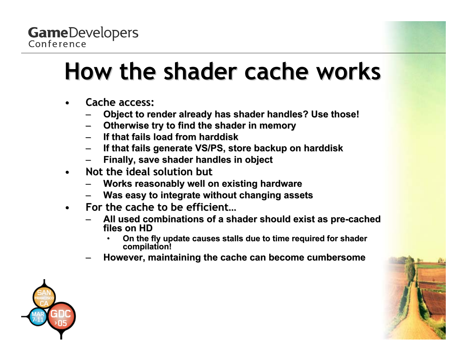## **How the shader cache works How the shader cache works**

- $\bullet$ **•** Cache access:
	- $-$  Object to render already has shader handles? Use those!
	- –**Otherwise t ry t o find t he shader in e shader in memory**
	- –**If that fails load from harddisk If that fails load from harddisk**
	- **If that fails generate VS/PS, store backup on harddisk If that fails generate VS/PS, store backup on harddisk**
	- –**Finally, save shader handles in object Finally, save shader handles in object**
- $\bullet$ **•** Not the ideal solution but
	- –**Works reasonably well on existing hardware**
	- **Was easy to integrate without changing assets Was easy to integrate without changing assets**
- $\bullet$  **For the cache to be efficient… For the cache to be efficient…**
	- –All used combinations of a shader should exist as pre-cached **files on HD les on HD**
		- •**On the fly update causes stalls due to time required for shader compilation!**
	- $-$  However, maintaining the cache can become cumbersome

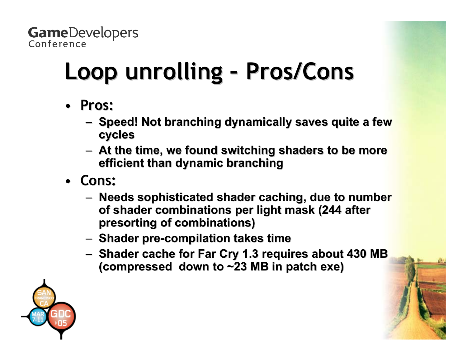#### **Loop unrolling Loop unrolling Pros/Cons Pros/Cons**

- **Pros:**
	- –**Speed! Not branching dynamically saves quite a few**  $\blacksquare$ **cycles**
	- –**At the time, we found switching shaders to be more efficient than dynamic branching**
- **Cons:**
	- –**– Needs sophisticated shader caching, due to number** of shader combinations per light mask (244 after **presorting of combinations) presorting of combinations)**
	- –**Shader pre Shader pre -compilation takes time compilation takes time**
	- –— Shader cache for Far Cry 1.3 requires about 430 MB **i (compressed down to ~23 MB in patch exe) (compressed down to ~23 MB in patch exe)**

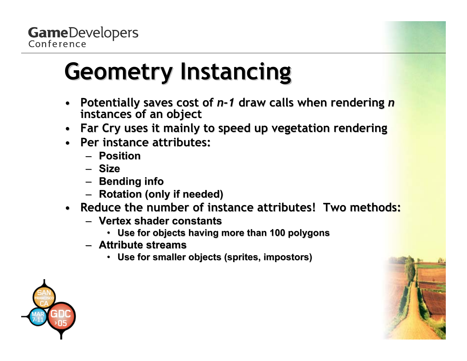## **Geometry Instancing Geometry Instancing**

- •• Potentially saves cost of *n*-1 draw calls when rendering *n* **instances of an object instances of an object**
- •**Far Cry uses it mainly to speed up vegetation rendering**
- **Per instance attributes: Per instance attributes:**
	- **Position Position**
	- **Size**
	- **Bending info Bending info**
	- **Rotation (only if needed) Rotation (only if needed)**
- **Reduce the number of instance attributes! Two methods:** 
	- **Vertex shader constants Vertex shader constants**
		- **Use for objects having more than 100 polygons Use for objects having more than 100 polygons**
	- **Attribute streams Attribute streams**
		- Use for smaller objects (sprites, impostors)

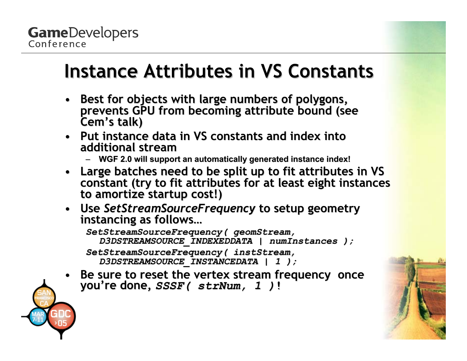### **Instance Attributes in VS Constants Instance Attributes in VS Constants**

- •**Best for objects with large numbers of polygons,** Best for objects with large numbers of polygons,<br>prevents GPU from becoming attribute bound (se prevents GPU from becoming attribute bound (see<br>Cem's talk) Cem's talk)
- Put instance data in VS constants and index into **additional stream additional stream**
	- –— WGF 2.0 will support an automatically generated instance index!
- Large batches need to be split up to fit attributes in VS constant (try to fit attributes for at least eight instances<br>to amortize startup cost!)
- $\bullet$ *<u>Use SetStreamSourceFrequency to setup geometry instance instance instance in Setup geometry instance as follows*</u> **ws…**

 $Setst$ reamSourceFrequency ( qeomStream, *D3DSTREAMSOURCE\_INDEXEDDATA | D3DSTREAMSOURCE\_INDEXEDDATA | numInstances numInstances );*  $Setst$ reamSourceFrequency( instStream, *D3DSTREAMSOURCE\_IN D3DSTREAMSOURCE\_INSTANCEDATA | 1 ); STANCEDATA | 1 );*

•Be sure to reset the vertex stream frequency once you're done,  $SSSF$  (  $strNum$ , 1 )**!**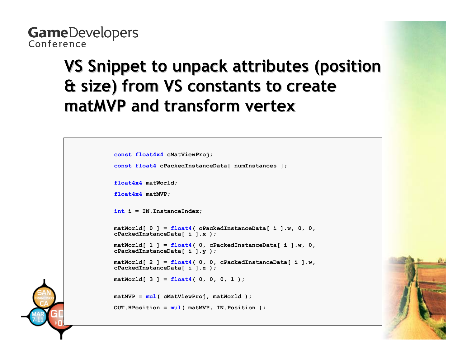### **VS Snippet to unpack attributes (position & size) from VS constants to create & size) from VS constants to create matMVP and transform vertex and transform vertex**

```
const float4x4 cMatViewProj;
const float4 cPackedInstanceData[ numInstances ];
float4x4 matWorld;
float4x4 matMVP;
int i = IN.InstanceIndex;
matWorld[ 0 ] = float4( cPackedInstanceData[ i ].w, 0, 0, 
cPackedInstanceData[ i ].x );
matWorld[ 1 ] = float4( 0, cPackedInstanceData[ i ].w, 0, 
cPackedInstanceData[ i ].y );
matWorld[ 2 ] = float4( 0, 0, cPackedInstanceData[ i ].w, 
cPackedInstanceData[ i ].z );
matWorld[ 3 ] = float4( 0, 0, 0, 1 );
matMVP = mul( cMatViewProj, matWorld );
OUT.HPosition = mul( matMVP, IN.Position );
```
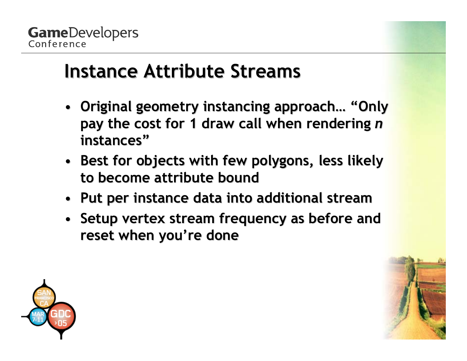## **Instance Attribute Streams Instance Attribute Streams**

- Original geometry instancing approach... "Only pay the cost for 1 draw call when rendering *n* **instances" instances"**
- Best for objects with few polygons, less likely **to become attribute bound to become attribute bound**
- **Put per instance data into additional stream Put per instance data into additional stream**
- Setup vertex stream frequency as before and **reset when you're done reset when you're done**

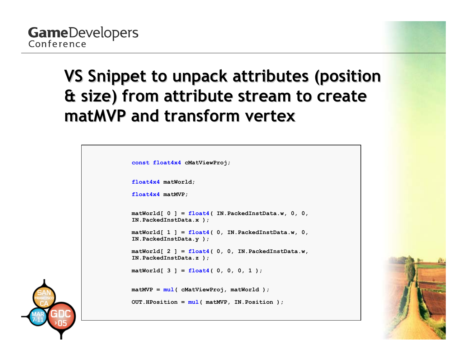### **VS Snippet to unpack attributes (position & size) from attribute stream to create & size) from attribute stream to create matMVP and transform vertex and transform vertex**

```
const float4x4 cMatViewProj;
float4x4 matWorld;
float4x4 matMVP;
matWorld[ 0 ] = float4( IN.PackedInstData.w, 0, 0, 
IN.PackedInstData.x );
matWorld[ 1 ] = float4( 0, IN.PackedInstData.w, 0, 
IN.PackedInstData.y );
matWorld[ 2 ] = float4( 0, 0, IN.PackedInstData.w, 
IN.PackedInstData.z );
matWorld[ 3 ] = float4( 0, 0, 0, 1 );
matMVP = mul( cMatViewProj, matWorld );
OUT.HPosition = mul( matMVP, IN.Position );
```


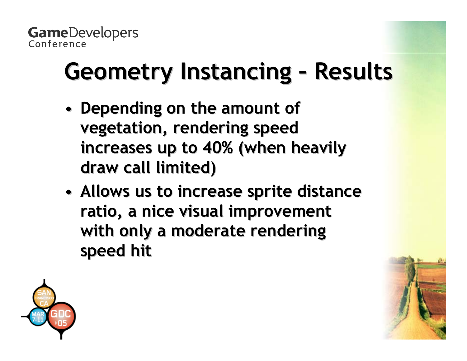#### **Geometry Instancing Results Results**

- •**• Depending on the amount of vegetation, rendering speed vegetation, rendering speed increases up to 40% (when heavily increases up to 40% (when heavily draw call limited) draw call limited)**
- •**• Allows us to increase sprite distance ratio, a nice visual improvement ratio, a nice visual improvement**  with only a moderate rendering **speed hit speed hit**

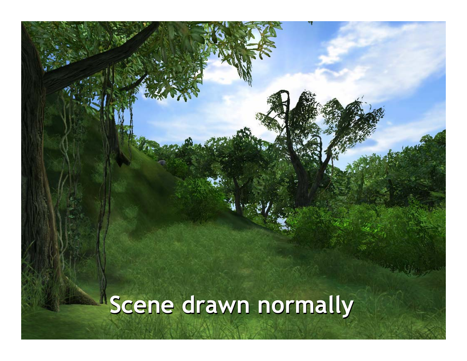# **Scene drawn normally Scene drawn normally**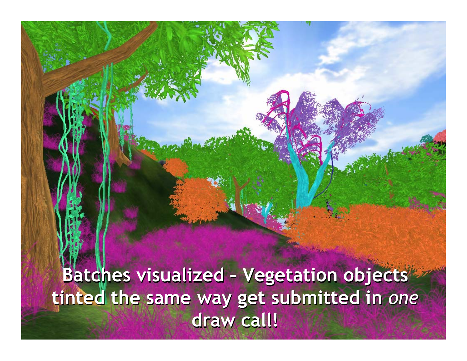**Batches visualized – Vegetation objects Batches visualized – Vegetation objects tinted the same way get submitted in** *one* **tinted the same way get submitted in** *one* **draw call! draw call!**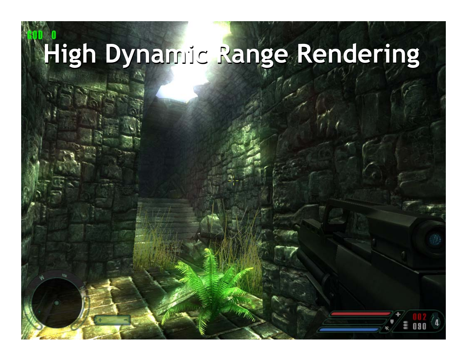# **High Dynamic Range Rendering High Dynamic Range Rendering**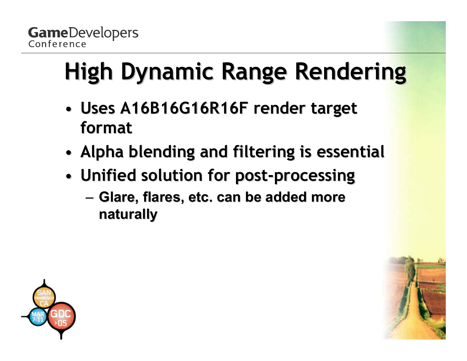# **High Dynamic Range Rendering**

- •**• Uses A16B16G16R16F render target format**
- •**Alpha blending and filtering is essential Alpha blending and filtering is essential**
- • **Unified solution for post Unified solution for post -processing processing**
	- – **Glare, flares, etc. can be added more Glare, flares, etc. can be added more naturally naturally**

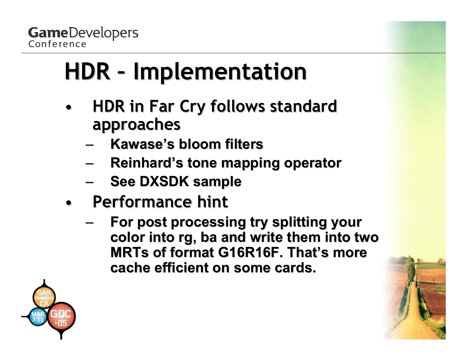# **HDR – Implementation Implementation**

- • **HDR in Far Cry follows standard HDR in Far Cry follows standard approaches approaches**
	- –**Kawase's Kawase's bloom filters bloom filters**
	- –**Reinhard's Reinhard's tone mapping operator tone mapping operator**
	- –**See DXSDK sample See DXSDK sample**
- **Performance hint Performance hint**
	- – **For post processing try splitting your For post processing try splitting your**  color into rg, ba and write them into two **MRTs of format G16R16F. That's more cache efficient on some cards. cache efficient on some cards.**

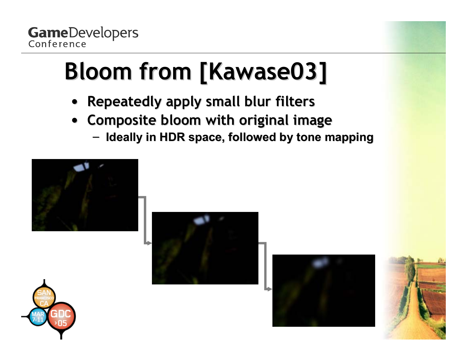# **Bloom from [Kawase03] Bloom from [Kawase03]**

- •**Repeatedly apply small blur filters**
- **Composite bloom with original image Composite bloom with original image**
	- $-$  Ideally in HDR space, followed by tone mapping









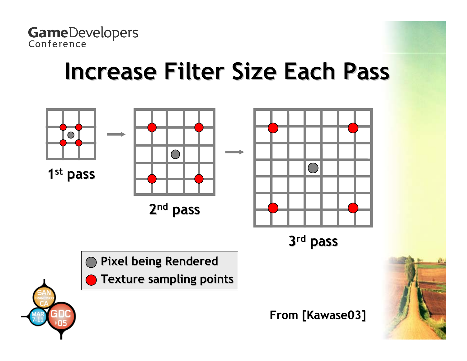## **Increase Filter Size Each Pass Increase Filter Size Each Pass**

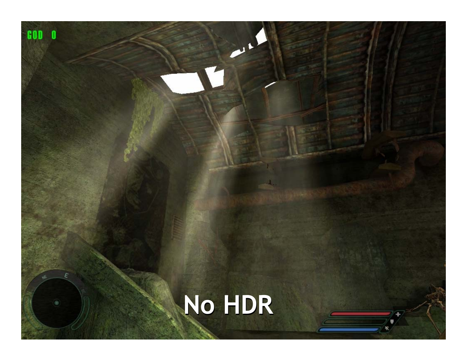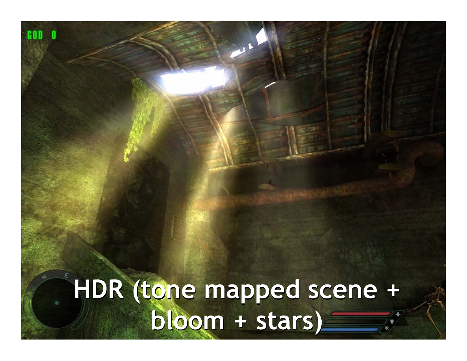**HDR (tone mapped scene + bloom + stars) HDR (tone mapped scene + bloom + stars)**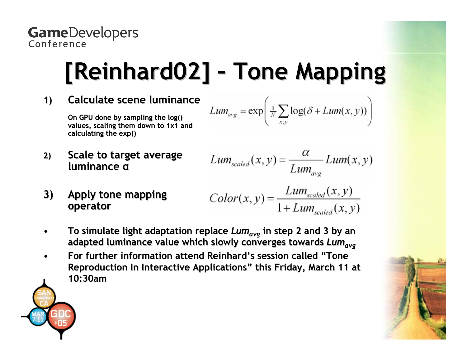#### **[Reinhard02] [Reinhard02] Tone Mapping Tone Mapping**

**1) Calculate scene luminance** 

On GPU done by sampling the log() values, scaling them down to 1x1 and **calculating the exp()** 

$$
Lum_{avg} = \exp\left(\frac{1}{N}\sum_{x,y}\log(\delta + Lum(x,y))\right)
$$

2) **Scale to target average luminance α** 

$$
Lum_{scaled}(x, y) = \frac{\alpha}{Lum_{avg}} Lum(x, y)
$$

**3)** Apply tone mapping **operator operator**

$$
Color(x, y) = \frac{Lum_{scaled}(x, y)}{1 + Lum_{scaled}(x, y)}
$$

- • **To simulate light adaptation replace To simulate light adaptation replace** *Lu mavg* **in step 2 and 3 by an in step 2 and 3 by an adapted l l uminance val u e which slowly h slowly converges towards converges towards** *Lumavg*
- • **For further information attend For further information attend Reinhard's Reinhard's session called "Tone session called "Tone Reproduction In Interactive Applications" this Friday, March 11 at 10:30am**

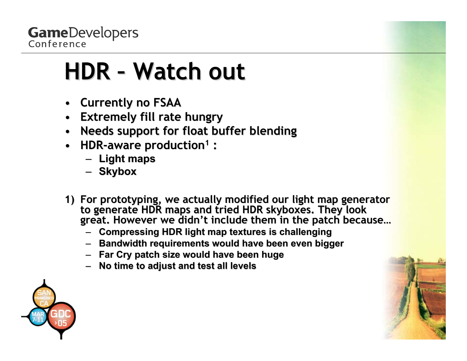## **HDR - Watch out**

- **Currently no FSAA Currently no FSAA**
- $\bullet$ **Extremely fill rate hungry Extremely fill rate hungry**
- $\bullet$ **Needs support for float buffer blending Needs support for float buffer blending**
- $\bullet$ **HDR-aware production<sup>1</sup>:** 
	- **Light maps Light maps**
	- **Skybox**
- 1) For prototyping, we actually modified our light map generator<br>to generate HDR maps and tried HDR skyboxes. They look<br>great. However we didn't include them in the patch because...
	- **Compressing HDR light map textures is challenging ssing HDR light map textures is challenging**
	- **Bandwidth requirements would Bandwidth requirements would have been even bigger have been even bigger**
	- **Far Cry patch size would have been huge Far Cry patch size would have been huge**
	- – $-$  No time to adjust and test all levels

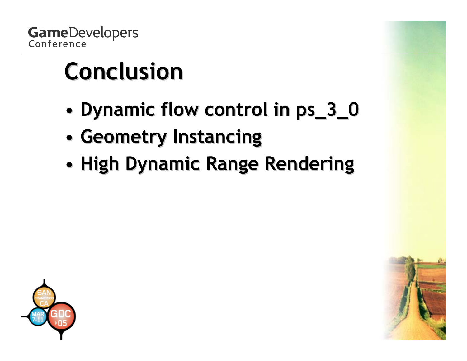# **Conclusion Conclusion**

- •**Dynamic flow control in ps\_3\_0 Dynamic flow control in ps\_3\_0**
- •**Geometry Instancing Geometry Instancing**
- •**High Dynamic Range Rendering High Dynamic Range Rendering**



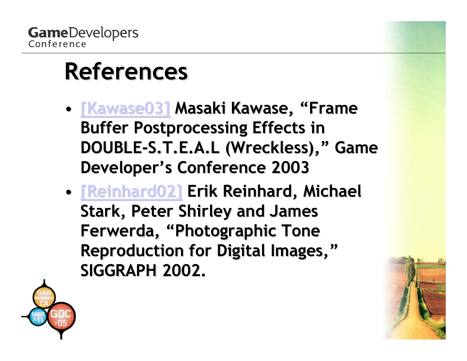## **References References**

- • **[\[Kawase03\]](http://www.daionet.gr.jp/~masa/column/2003-03-21.html) [Kawase03] Masaki Kawase, "Frame , "Frame Buffer Postprocessing Effects in DOUBLE-S.T.E.A.L (Wreckless)," Game Developer's Conference 2003 Developer's Conference 2003**
- •**• [\[Reinhard02\]](http://www.cs.ucf.edu/~reinhard/cdrom/) Erik Reinhard, Michael Stark, Peter Shirley and James** Ferwerda, "Photographic Tone **Reproduction for Digital Images," SIGGRAPH 2002. SIGGRAPH 2002.**